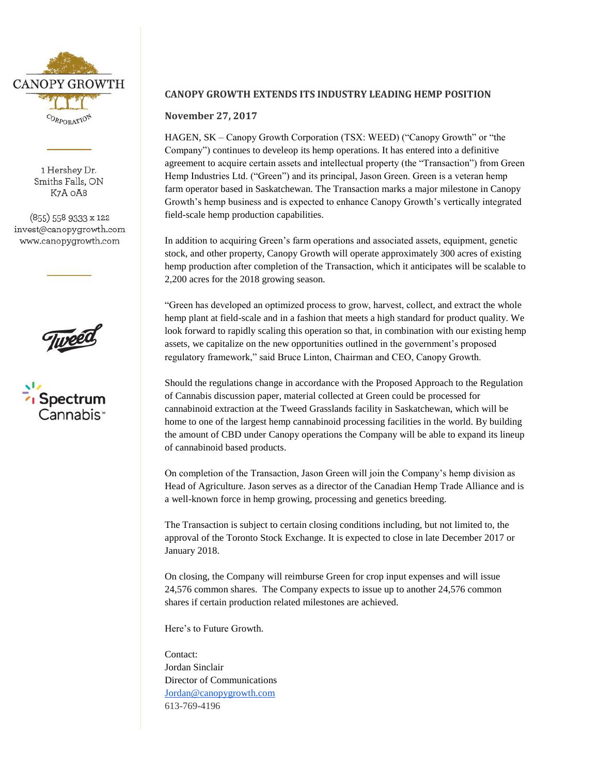

1 Hershey Dr. Smiths Falls, ON K7A OA8

(855) 558 9333 x 122 invest@canopygrowth.com www.canopygrowth.com





## **CANOPY GROWTH EXTENDS ITS INDUSTRY LEADING HEMP POSITION**

### **November 27, 2017**

HAGEN, SK – Canopy Growth Corporation (TSX: WEED) ("Canopy Growth" or "the Company") continues to develeop its hemp operations. It has entered into a definitive agreement to acquire certain assets and intellectual property (the "Transaction") from Green Hemp Industries Ltd. ("Green") and its principal, Jason Green. Green is a veteran hemp farm operator based in Saskatchewan. The Transaction marks a major milestone in Canopy Growth's hemp business and is expected to enhance Canopy Growth's vertically integrated field-scale hemp production capabilities.

In addition to acquiring Green's farm operations and associated assets, equipment, genetic stock, and other property, Canopy Growth will operate approximately 300 acres of existing hemp production after completion of the Transaction, which it anticipates will be scalable to 2,200 acres for the 2018 growing season.

"Green has developed an optimized process to grow, harvest, collect, and extract the whole hemp plant at field-scale and in a fashion that meets a high standard for product quality. We look forward to rapidly scaling this operation so that, in combination with our existing hemp assets, we capitalize on the new opportunities outlined in the government's proposed regulatory framework," said Bruce Linton, Chairman and CEO, Canopy Growth.

Should the regulations change in accordance with the Proposed Approach to the Regulation of Cannabis discussion paper, material collected at Green could be processed for cannabinoid extraction at the Tweed Grasslands facility in Saskatchewan, which will be home to one of the largest hemp cannabinoid processing facilities in the world. By building the amount of CBD under Canopy operations the Company will be able to expand its lineup of cannabinoid based products.

On completion of the Transaction, Jason Green will join the Company's hemp division as Head of Agriculture. Jason serves as a director of the Canadian Hemp Trade Alliance and is a well-known force in hemp growing, processing and genetics breeding.

The Transaction is subject to certain closing conditions including, but not limited to, the approval of the Toronto Stock Exchange. It is expected to close in late December 2017 or January 2018.

On closing, the Company will reimburse Green for crop input expenses and will issue 24,576 common shares. The Company expects to issue up to another 24,576 common shares if certain production related milestones are achieved.

Here's to Future Growth.

Contact: Jordan Sinclair Director of Communications Jordan@canopygrowth.com 613-769-4196